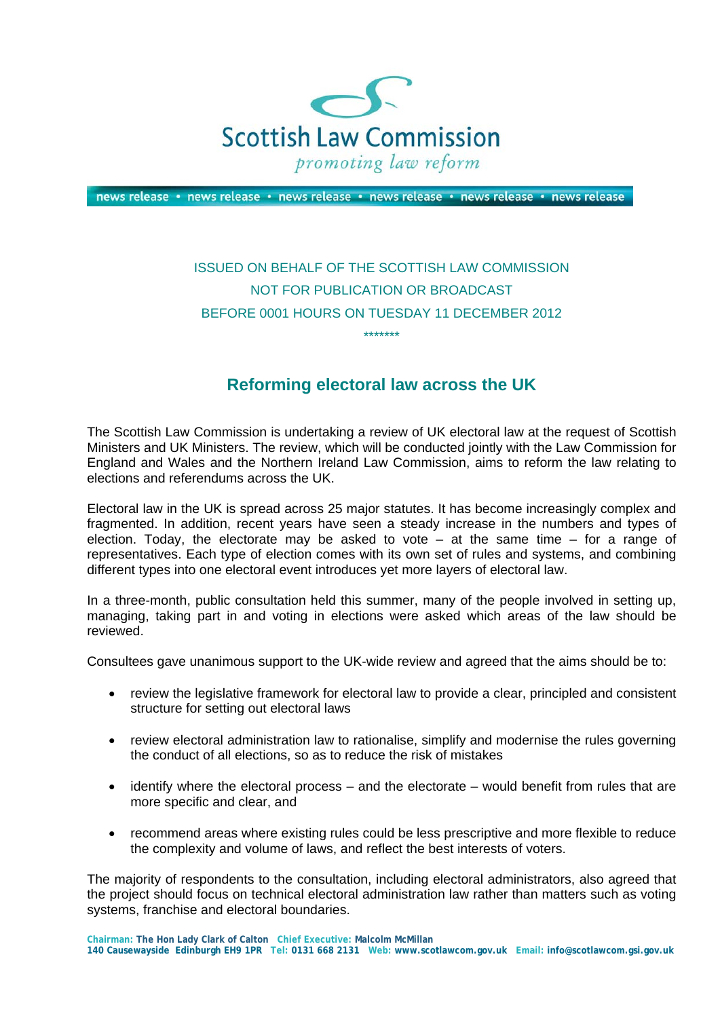

news release • news release • news release • news release • news release • news release

## ISSUED ON BEHALF OF THE SCOTTISH LAW COMMISSION NOT FOR PUBLICATION OR BROADCAST BEFORE 0001 HOURS ON TUESDAY 11 DECEMBER 2012 \*\*\*\*\*\*\*

## **Reforming electoral law across the UK**

The Scottish Law Commission is undertaking a review of UK electoral law at the request of Scottish Ministers and UK Ministers. The review, which will be conducted jointly with the Law Commission for England and Wales and the Northern Ireland Law Commission, aims to reform the law relating to elections and referendums across the UK.

Electoral law in the UK is spread across 25 major statutes. It has become increasingly complex and fragmented. In addition, recent years have seen a steady increase in the numbers and types of election. Today, the electorate may be asked to vote  $-$  at the same time  $-$  for a range of representatives. Each type of election comes with its own set of rules and systems, and combining different types into one electoral event introduces yet more layers of electoral law.

In a three-month, public consultation held this summer, many of the people involved in setting up, managing, taking part in and voting in elections were asked which areas of the law should be reviewed.

Consultees gave unanimous support to the UK-wide review and agreed that the aims should be to:

- review the legislative framework for electoral law to provide a clear, principled and consistent structure for setting out electoral laws
- review electoral administration law to rationalise, simplify and modernise the rules governing the conduct of all elections, so as to reduce the risk of mistakes
- identify where the electoral process and the electorate would benefit from rules that are more specific and clear, and
- recommend areas where existing rules could be less prescriptive and more flexible to reduce the complexity and volume of laws, and reflect the best interests of voters.

The majority of respondents to the consultation, including electoral administrators, also agreed that the project should focus on technical electoral administration law rather than matters such as voting systems, franchise and electoral boundaries.

**Chairman: The Hon Lady Clark of Calton Chief Executive: Malcolm McMillan 140 Causewayside Edinburgh EH9 1PR Tel: 0131 668 2131 Web: www.scotlawcom.gov.uk Email: info@scotlawcom.gsi.gov.uk**